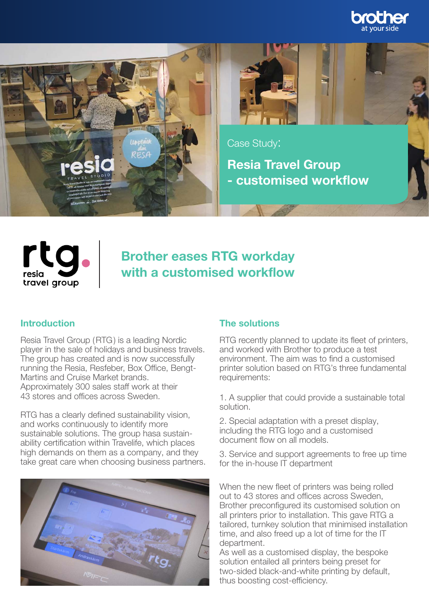





rto resia travel group

# Brother eases RTG workday with a customised workflow

Resia Travel Group (RTG) is a leading Nordic player in the sale of holidays and business travels. The group has created and is now successfully running the Resia, Resfeber, Box Office, Bengt-Martins and Cruise Market brands. Approximately 300 sales staff work at their 43 stores and offices across Sweden.

RTG has a clearly defined sustainability vision, and works continuously to identify more sustainable solutions. The group hasa sustainability certification within Travelife, which places high demands on them as a company, and they take great care when choosing business partners.



## Introduction **The solutions**

RTG recently planned to update its fleet of printers, and worked with Brother to produce a test environment. The aim was to find a customised printer solution based on RTG's three fundamental requirements:

1. A supplier that could provide a sustainable total solution.

2. Special adaptation with a preset display, including the RTG logo and a customised document flow on all models.

3. Service and support agreements to free up time for the in-house IT department

When the new fleet of printers was being rolled out to 43 stores and offices across Sweden, Brother preconfigured its customised solution on all printers prior to installation. This gave RTG a tailored, turnkey solution that minimised installation time, and also freed up a lot of time for the IT department.

As well as a customised display, the bespoke solution entailed all printers being preset for two-sided black-and-white printing by default, thus boosting cost-efficiency.